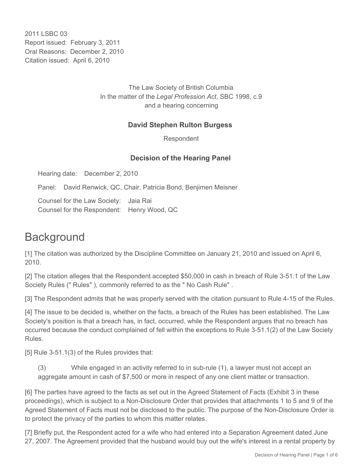2011 LSBC 03 Report issued: February 3, 2011 Oral Reasons: December 2, 2010 Citation issued: April 6, 2010

> The Law Society of British Columbia In the matter of the *Legal Profession Act*, SBC 1998, c.9 and a hearing concerning

# **David Stephen Rulton Burgess**

Respondent

# **Decision of the Hearing Panel**

Hearing date: December 2, 2010

Panel: David Renwick, QC, Chair, Patricia Bond, Benjimen Meisner

Counsel for the Law Society: Jaia Rai Counsel for the Respondent: Henry Wood, QC

# **Background**

[1] The citation was authorized by the Discipline Committee on January 21, 2010 and issued on April 6, 2010.

[2] The citation alleges that the Respondent accepted \$50,000 in cash in breach of Rule 3-51.1 of the Law Society Rules (" Rules" ), commonly referred to as the " No Cash Rule" .

[3] The Respondent admits that he was properly served with the citation pursuant to Rule 4-15 of the Rules.

[4] The issue to be decided is, whether on the facts, a breach of the Rules has been established. The Law Society's position is that a breach has, in fact, occurred, while the Respondent argues that no breach has occurred because the conduct complained of fell within the exceptions to Rule 3-51.1(2) of the Law Society Rules.

[5] Rule 3-51.1(3) of the Rules provides that:

(3) While engaged in an activity referred to in sub-rule (1), a lawyer must not accept an aggregate amount in cash of \$7,500 or more in respect of any one client matter or transaction.

[6] The parties have agreed to the facts as set out in the Agreed Statement of Facts (Exhibit 3 in these proceedings), which is subject to a Non-Disclosure Order that provides that attachments 1 to 5 and 9 of the Agreed Statement of Facts must not be disclosed to the public. The purpose of the Non-Disclosure Order is to protect the privacy of the parties to whom this matter relates.

[7] Briefly put, the Respondent acted for a wife who had entered into a Separation Agreement dated June 27, 2007. The Agreement provided that the husband would buy out the wife's interest in a rental property by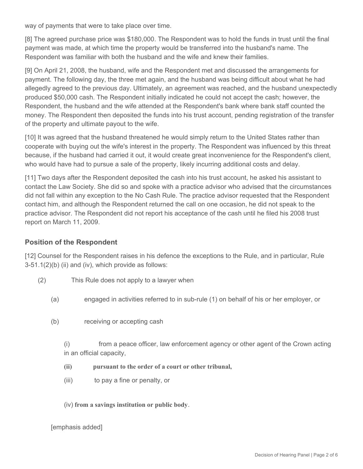way of payments that were to take place over time.

[8] The agreed purchase price was \$180,000. The Respondent was to hold the funds in trust until the final payment was made, at which time the property would be transferred into the husband's name. The Respondent was familiar with both the husband and the wife and knew their families.

[9] On April 21, 2008, the husband, wife and the Respondent met and discussed the arrangements for payment. The following day, the three met again, and the husband was being difficult about what he had allegedly agreed to the previous day. Ultimately, an agreement was reached, and the husband unexpectedly produced \$50,000 cash. The Respondent initially indicated he could not accept the cash; however, the Respondent, the husband and the wife attended at the Respondent's bank where bank staff counted the money. The Respondent then deposited the funds into his trust account, pending registration of the transfer of the property and ultimate payout to the wife.

[10] It was agreed that the husband threatened he would simply return to the United States rather than cooperate with buying out the wife's interest in the property. The Respondent was influenced by this threat because, if the husband had carried it out, it would create great inconvenience for the Respondent's client, who would have had to pursue a sale of the property, likely incurring additional costs and delay.

[11] Two days after the Respondent deposited the cash into his trust account, he asked his assistant to contact the Law Society. She did so and spoke with a practice advisor who advised that the circumstances did not fall within any exception to the No Cash Rule. The practice advisor requested that the Respondent contact him, and although the Respondent returned the call on one occasion, he did not speak to the practice advisor. The Respondent did not report his acceptance of the cash until he filed his 2008 trust report on March 11, 2009.

#### **Position of the Respondent**

[12] Counsel for the Respondent raises in his defence the exceptions to the Rule, and in particular, Rule  $3-51.1(2)(b)$  (ii) and (iv), which provide as follows:

- (2) This Rule does not apply to a lawyer when
	- (a) engaged in activities referred to in sub-rule (1) on behalf of his or her employer, or
	- (b) receiving or accepting cash

(i) from a peace officer, law enforcement agency or other agent of the Crown acting in an official capacity,

- **(ii) pursuant to the order of a court or other tribunal,**
- (iii) to pay a fine or penalty, or
- (iv) **from a savings institution or public body**.

[emphasis added]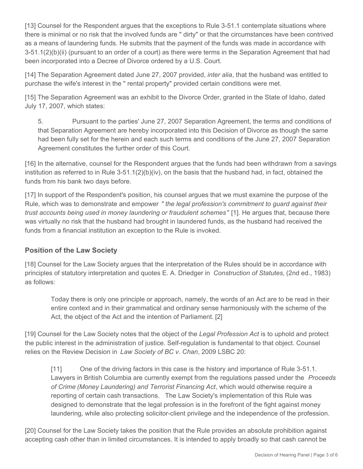[13] Counsel for the Respondent argues that the exceptions to Rule 3-51.1 contemplate situations where there is minimal or no risk that the involved funds are " dirty" or that the circumstances have been contrived as a means of laundering funds. He submits that the payment of the funds was made in accordance with 3-51.1(2)(b)(ii) (pursuant to an order of a court) as there were terms in the Separation Agreement that had been incorporated into a Decree of Divorce ordered by a U.S. Court.

[14] The Separation Agreement dated June 27, 2007 provided, *inter alia*, that the husband was entitled to purchase the wife's interest in the " rental property" provided certain conditions were met.

[15] The Separation Agreement was an exhibit to the Divorce Order, granted in the State of Idaho, dated July 17, 2007, which states:

5. Pursuant to the parties' June 27, 2007 Separation Agreement, the terms and conditions of that Separation Agreement are hereby incorporated into this Decision of Divorce as though the same had been fully set for the herein and each such terms and conditions of the June 27, 2007 Separation Agreement constitutes the further order of this Court.

[16] In the alternative, counsel for the Respondent argues that the funds had been withdrawn from a savings institution as referred to in Rule 3-51.1(2)(b)(iv), on the basis that the husband had, in fact, obtained the funds from his bank two days before.

[17] In support of the Respondent's position, his counsel argues that we must examine the purpose of the Rule, which was to demonstrate and empower *" the legal profession's commitment to guard against their trust accounts being used in money laundering or fraudulent schemes* " [1]. He argues that, because there was virtually no risk that the husband had brought in laundered funds, as the husband had received the funds from a financial institution an exception to the Rule is invoked.

# **Position of the Law Society**

[18] Counsel for the Law Society argues that the interpretation of the Rules should be in accordance with principles of statutory interpretation and quotes E. A. Driedger in *Construction of Statutes*, (2nd ed., 1983) as follows:

Today there is only one principle or approach, namely, the words of an Act are to be read in their entire context and in their grammatical and ordinary sense harmoniously with the scheme of the Act, the object of the Act and the intention of Parliament. [2]

[19] Counsel for the Law Society notes that the object of the *Legal Profession Act* is to uphold and protect the public interest in the administration of justice. Self-regulation is fundamental to that object. Counsel relies on the Review Decision in *Law Society of BC v. Chan*, 2009 LSBC 20:

[11] One of the driving factors in this case is the history and importance of Rule 3-51.1. Lawyers in British Columbia are currently exempt from the regulations passed under the *Proceeds of Crime (Money Laundering) and Terrorist Financing Act*, which would otherwise require a reporting of certain cash transactions. The Law Society's implementation of this Rule was designed to demonstrate that the legal profession is in the forefront of the fight against money laundering, while also protecting solicitor-client privilege and the independence of the profession.

[20] Counsel for the Law Society takes the position that the Rule provides an absolute prohibition against accepting cash other than in limited circumstances. It is intended to apply broadly so that cash cannot be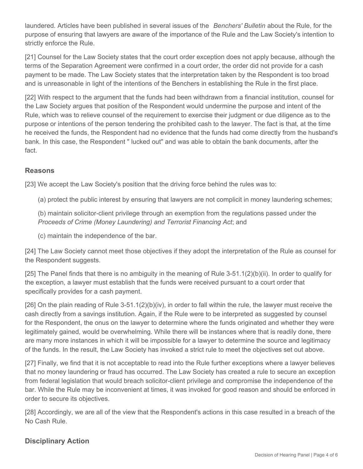laundered. Articles have been published in several issues of the *Benchers' Bulletin* about the Rule, for the purpose of ensuring that lawyers are aware of the importance of the Rule and the Law Society's intention to strictly enforce the Rule.

[21] Counsel for the Law Society states that the court order exception does not apply because, although the terms of the Separation Agreement were confirmed in a court order, the order did not provide for a cash payment to be made. The Law Society states that the interpretation taken by the Respondent is too broad and is unreasonable in light of the intentions of the Benchers in establishing the Rule in the first place.

[22] With respect to the argument that the funds had been withdrawn from a financial institution, counsel for the Law Society argues that position of the Respondent would undermine the purpose and intent of the Rule, which was to relieve counsel of the requirement to exercise their judgment or due diligence as to the purpose or intentions of the person tendering the prohibited cash to the lawyer. The fact is that, at the time he received the funds, the Respondent had no evidence that the funds had come directly from the husband's bank. In this case, the Respondent " lucked out" and was able to obtain the bank documents, after the fact.

# **Reasons**

[23] We accept the Law Society's position that the driving force behind the rules was to:

(a) protect the public interest by ensuring that lawyers are not complicit in money laundering schemes;

(b) maintain solicitor-client privilege through an exemption from the regulations passed under the *Proceeds of Crime (Money Laundering) and Terrorist Financing Act*; and

(c) maintain the independence of the bar.

[24] The Law Society cannot meet those objectives if they adopt the interpretation of the Rule as counsel for the Respondent suggests.

[25] The Panel finds that there is no ambiguity in the meaning of Rule 3-51.1(2)(b)(ii). In order to qualify for the exception, a lawyer must establish that the funds were received pursuant to a court order that specifically provides for a cash payment.

[26] On the plain reading of Rule 3-51.1(2)(b)(iv), in order to fall within the rule, the lawyer must receive the cash directly from a savings institution. Again, if the Rule were to be interpreted as suggested by counsel for the Respondent, the onus on the lawyer to determine where the funds originated and whether they were legitimately gained, would be overwhelming. While there will be instances where that is readily done, there are many more instances in which it will be impossible for a lawyer to determine the source and legitimacy of the funds. In the result, the Law Society has invoked a strict rule to meet the objectives set out above.

[27] Finally, we find that it is not acceptable to read into the Rule further exceptions where a lawyer believes that no money laundering or fraud has occurred. The Law Society has created a rule to secure an exception from federal legislation that would breach solicitor-client privilege and compromise the independence of the bar. While the Rule may be inconvenient at times, it was invoked for good reason and should be enforced in order to secure its objectives.

[28] Accordingly, we are all of the view that the Respondent's actions in this case resulted in a breach of the No Cash Rule.

# **Disciplinary Action**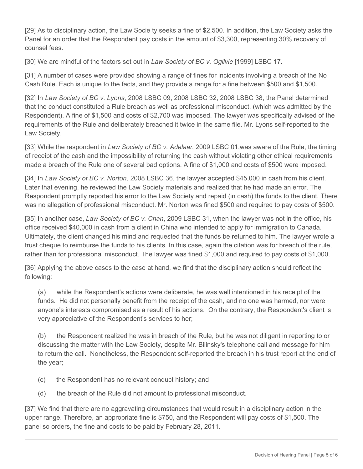[29] As to disciplinary action, the Law Socie ty seeks a fine of \$2,500. In addition, the Law Society asks the Panel for an order that the Respondent pay costs in the amount of \$3,300, representing 30% recovery of counsel fees.

[30] We are mindful of the factors set out in *Law Society of BC v. Ogilvie* [1999] LSBC 17.

[31] A number of cases were provided showing a range of fines for incidents involving a breach of the No Cash Rule. Each is unique to the facts, and they provide a range for a fine between \$500 and \$1,500.

[32] In *Law Society of BC v. Lyons*, 2008 LSBC 09, 2008 LSBC 32, 2008 LSBC 38, the Panel determined that the conduct constituted a Rule breach as well as professional misconduct, (which was admitted by the Respondent). A fine of \$1,500 and costs of \$2,700 was imposed. The lawyer was specifically advised of the requirements of the Rule and deliberately breached it twice in the same file. Mr. Lyons self-reported to the Law Society.

[33] While the respondent in *Law Society of BC v. Adelaar*, 2009 LSBC 01,was aware of the Rule, the timing of receipt of the cash and the impossibility of returning the cash without violating other ethical requirements made a breach of the Rule one of several bad options. A fine of \$1,000 and costs of \$500 were imposed.

[34] In *Law Society of BC v. Norton,* 2008 LSBC 36, the lawyer accepted \$45,000 in cash from his client. Later that evening, he reviewed the Law Society materials and realized that he had made an error. The Respondent promptly reported his error to the Law Society and repaid (in cash) the funds to the client. There was no allegation of professional misconduct. Mr. Norton was fined \$500 and required to pay costs of \$500.

[35] In another case, *Law Society of BC v. Chan*, 2009 LSBC 31, when the lawyer was not in the office, his office received \$40,000 in cash from a client in China who intended to apply for immigration to Canada. Ultimately, the client changed his mind and requested that the funds be returned to him. The lawyer wrote a trust cheque to reimburse the funds to his clients. In this case, again the citation was for breach of the rule, rather than for professional misconduct. The lawyer was fined \$1,000 and required to pay costs of \$1,000.

[36] Applying the above cases to the case at hand, we find that the disciplinary action should reflect the following:

(a) while the Respondent's actions were deliberate, he was well intentioned in his receipt of the funds. He did not personally benefit from the receipt of the cash, and no one was harmed, nor were anyone's interests compromised as a result of his actions. On the contrary, the Respondent's client is very appreciative of the Respondent's services to her;

(b) the Respondent realized he was in breach of the Rule, but he was not diligent in reporting to or discussing the matter with the Law Society, despite Mr. Bilinsky's telephone call and message for him to return the call. Nonetheless, the Respondent self-reported the breach in his trust report at the end of the year;

- (c) the Respondent has no relevant conduct history; and
- (d) the breach of the Rule did not amount to professional misconduct.

[37] We find that there are no aggravating circumstances that would result in a disciplinary action in the upper range. Therefore, an appropriate fine is \$750, and the Respondent will pay costs of \$1,500. The panel so orders, the fine and costs to be paid by February 28, 2011.